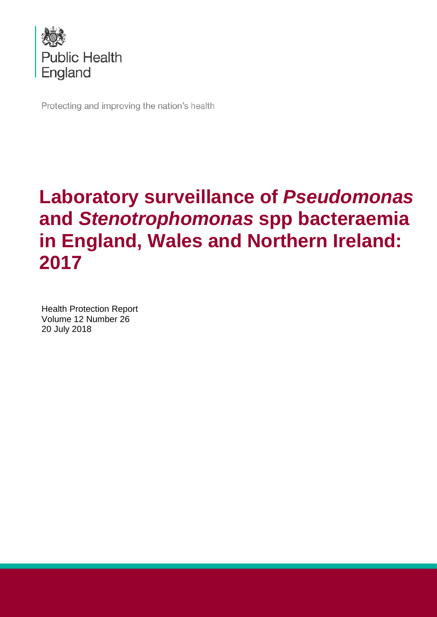

Protecting and improving the nation's health

# **Laboratory surveillance of** *Pseudomonas* **and** *Stenotrophomonas* **spp bacteraemia in England, Wales and Northern Ireland: 2017**

Health Protection Report Volume 12 Number 26 20 July 2018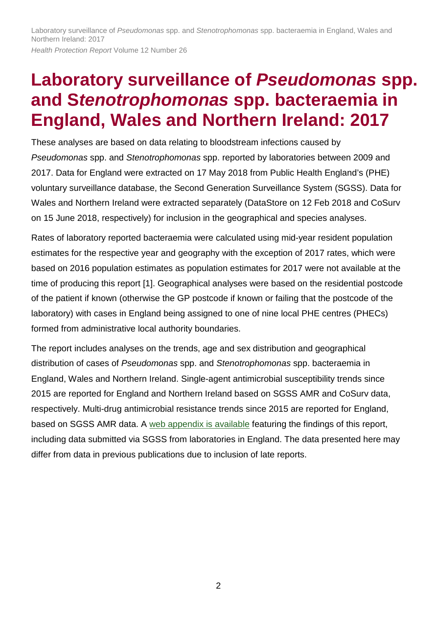# **Laboratory surveillance of** *Pseudomonas* **spp. and S***tenotrophomonas* **spp. bacteraemia in England, Wales and Northern Ireland: 2017**

These analyses are based on data relating to bloodstream infections caused by *Pseudomonas* spp. and *Stenotrophomonas* spp. reported by laboratories between 2009 and 2017. Data for England were extracted on 17 May 2018 from Public Health England's (PHE) voluntary surveillance database, the Second Generation Surveillance System (SGSS). Data for Wales and Northern Ireland were extracted separately (DataStore on 12 Feb 2018 and CoSurv on 15 June 2018, respectively) for inclusion in the geographical and species analyses.

Rates of laboratory reported bacteraemia were calculated using mid-year resident population estimates for the respective year and geography with the exception of 2017 rates, which were based on 2016 population estimates as population estimates for 2017 were not available at the time of producing this report [1]. Geographical analyses were based on the residential postcode of the patient if known (otherwise the GP postcode if known or failing that the postcode of the laboratory) with cases in England being assigned to one of nine local PHE centres (PHECs) formed from administrative local authority boundaries.

The report includes analyses on the trends, age and sex distribution and geographical distribution of cases of *Pseudomonas* spp. and *Stenotrophomonas* spp. bacteraemia in England, Wales and Northern Ireland. Single-agent antimicrobial susceptibility trends since 2015 are reported for England and Northern Ireland based on SGSS AMR and CoSurv data, respectively. Multi-drug antimicrobial resistance trends since 2015 are reported for England, based on SGSS AMR data. A [web appendix is](https://www.gov.uk/government/publications/pseudomonas-spp-and-stenotrophomonas-spp-voluntary-surveillance-2013) available featuring the findings of this report, including data submitted via SGSS from laboratories in England. The data presented here may differ from data in previous publications due to inclusion of late reports.

2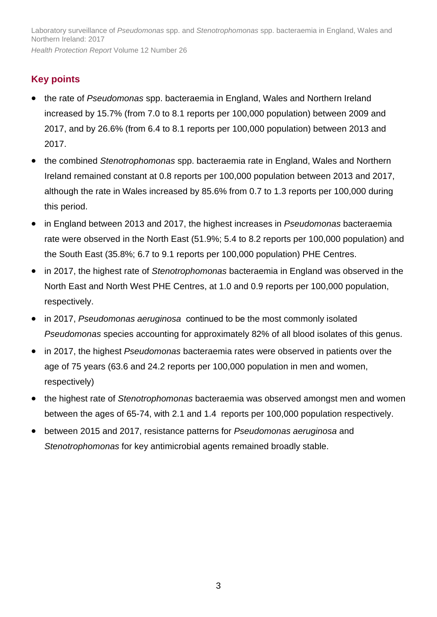# **Key points**

- the rate of *Pseudomonas* spp. bacteraemia in England, Wales and Northern Ireland increased by 15.7% (from 7.0 to 8.1 reports per 100,000 population) between 2009 and 2017, and by 26.6% (from 6.4 to 8.1 reports per 100,000 population) between 2013 and 2017.
- the combined *Stenotrophomonas* spp. bacteraemia rate in England, Wales and Northern Ireland remained constant at 0.8 reports per 100,000 population between 2013 and 2017, although the rate in Wales increased by 85.6% from 0.7 to 1.3 reports per 100,000 during this period.
- in England between 2013 and 2017, the highest increases in *Pseudomonas* bacteraemia rate were observed in the North East (51.9%; 5.4 to 8.2 reports per 100,000 population) and the South East (35.8%; 6.7 to 9.1 reports per 100,000 population) PHE Centres.
- in 2017, the highest rate of *Stenotrophomonas* bacteraemia in England was observed in the North East and North West PHE Centres, at 1.0 and 0.9 reports per 100,000 population, respectively.
- in 2017, *Pseudomonas aeruginosa* continued to be the most commonly isolated *Pseudomonas* species accounting for approximately 82% of all blood isolates of this genus.
- in 2017, the highest *Pseudomonas* bacteraemia rates were observed in patients over the age of 75 years (63.6 and 24.2 reports per 100,000 population in men and women, respectively)
- the highest rate of *Stenotrophomonas* bacteraemia was observed amongst men and women between the ages of 65-74, with 2.1 and 1.4 reports per 100,000 population respectively.
- between 2015 and 2017, resistance patterns for *Pseudomonas aeruginosa* and *Stenotrophomonas* for key antimicrobial agents remained broadly stable.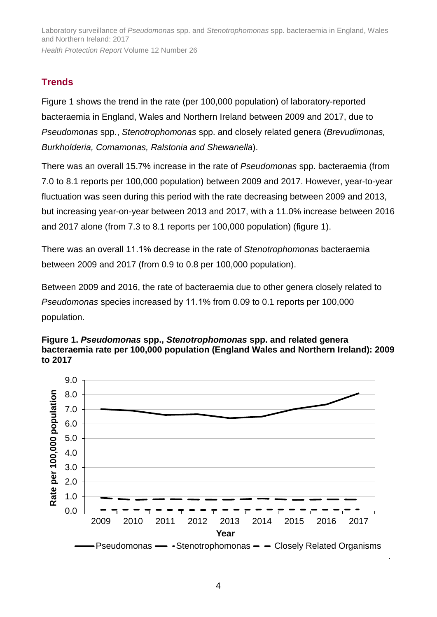# **Trends**

Figure 1 shows the trend in the rate (per 100,000 population) of laboratory-reported bacteraemia in England, Wales and Northern Ireland between 2009 and 2017, due to *Pseudomonas* spp., *Stenotrophomonas* spp. and closely related genera (*Brevudimonas, Burkholderia, Comamonas, Ralstonia and Shewanella*).

There was an overall 15.7% increase in the rate of *Pseudomonas* spp. bacteraemia (from 7.0 to 8.1 reports per 100,000 population) between 2009 and 2017. However, year-to-year fluctuation was seen during this period with the rate decreasing between 2009 and 2013, but increasing year-on-year between 2013 and 2017, with a 11.0% increase between 2016 and 2017 alone (from 7.3 to 8.1 reports per 100,000 population) (figure 1).

There was an overall 11.1% decrease in the rate of *Stenotrophomonas* bacteraemia between 2009 and 2017 (from 0.9 to 0.8 per 100,000 population).

Between 2009 and 2016, the rate of bacteraemia due to other genera closely related to *Pseudomonas* species increased by 11.1% from 0.09 to 0.1 reports per 100,000 population.





.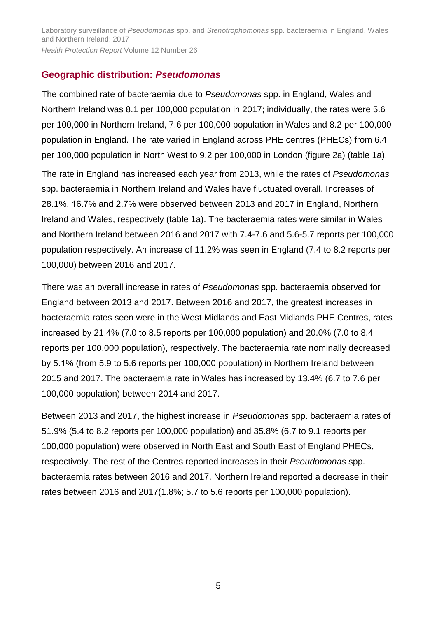## **Geographic distribution:** *Pseudomonas*

The combined rate of bacteraemia due to *Pseudomonas* spp. in England, Wales and Northern Ireland was 8.1 per 100,000 population in 2017; individually, the rates were 5.6 per 100,000 in Northern Ireland, 7.6 per 100,000 population in Wales and 8.2 per 100,000 population in England. The rate varied in England across PHE centres (PHECs) from 6.4 per 100,000 population in North West to 9.2 per 100,000 in London (figure 2a) (table 1a). The rate in England has increased each year from 2013, while the rates of *Pseudomonas* spp. bacteraemia in Northern Ireland and Wales have fluctuated overall. Increases of 28.1%, 16.7% and 2.7% were observed between 2013 and 2017 in England, Northern Ireland and Wales, respectively (table 1a). The bacteraemia rates were similar in Wales and Northern Ireland between 2016 and 2017 with 7.4-7.6 and 5.6-5.7 reports per 100,000 population respectively. An increase of 11.2% was seen in England (7.4 to 8.2 reports per 100,000) between 2016 and 2017.

There was an overall increase in rates of *Pseudomonas* spp. bacteraemia observed for England between 2013 and 2017. Between 2016 and 2017, the greatest increases in bacteraemia rates seen were in the West Midlands and East Midlands PHE Centres, rates increased by 21.4% (7.0 to 8.5 reports per 100,000 population) and 20.0% (7.0 to 8.4 reports per 100,000 population), respectively. The bacteraemia rate nominally decreased by 5.1% (from 5.9 to 5.6 reports per 100,000 population) in Northern Ireland between 2015 and 2017. The bacteraemia rate in Wales has increased by 13.4% (6.7 to 7.6 per 100,000 population) between 2014 and 2017.

Between 2013 and 2017, the highest increase in *Pseudomonas* spp. bacteraemia rates of 51.9% (5.4 to 8.2 reports per 100,000 population) and 35.8% (6.7 to 9.1 reports per 100,000 population) were observed in North East and South East of England PHECs, respectively. The rest of the Centres reported increases in their *Pseudomonas* spp. bacteraemia rates between 2016 and 2017. Northern Ireland reported a decrease in their rates between 2016 and 2017(1.8%; 5.7 to 5.6 reports per 100,000 population).

5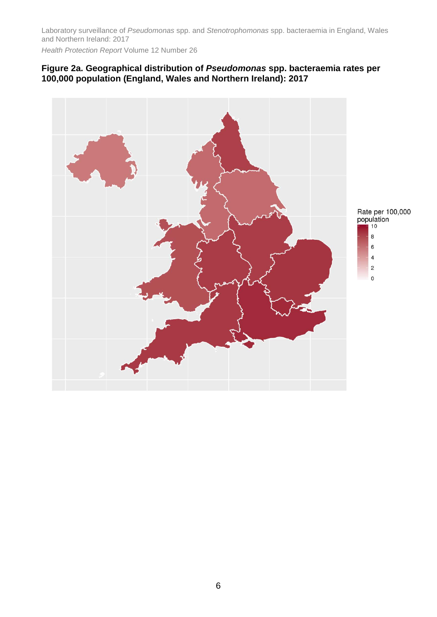Laboratory surveillance of *Pseudomonas* spp. and *Stenotrophomonas* spp. bacteraemia in England, Wales and Northern Ireland: 2017

*Health Protection Report* Volume 12 Number 26

#### **Figure 2a. Geographical distribution of** *Pseudomonas* **spp. bacteraemia rates per 100,000 population (England, Wales and Northern Ireland): 2017**

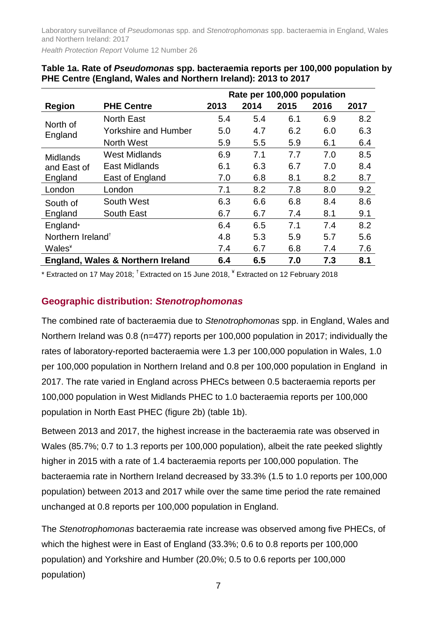Laboratory surveillance of *Pseudomonas* spp. and *Stenotrophomonas* spp. bacteraemia in England, Wales and Northern Ireland: 2017

*Health Protection Report* Volume 12 Number 26

|                               |                                   | Rate per 100,000 population |      |      |      |      |  |  |  |
|-------------------------------|-----------------------------------|-----------------------------|------|------|------|------|--|--|--|
| <b>Region</b>                 | <b>PHE Centre</b>                 | 2013                        | 2014 | 2015 | 2016 | 2017 |  |  |  |
| North of                      | <b>North East</b>                 | 5.4                         | 5.4  | 6.1  | 6.9  | 8.2  |  |  |  |
| England                       | <b>Yorkshire and Humber</b>       | 5.0                         | 4.7  | 6.2  | 6.0  | 6.3  |  |  |  |
|                               | <b>North West</b>                 | 5.9                         | 5.5  | 5.9  | 6.1  | 6.4  |  |  |  |
| <b>Midlands</b>               | <b>West Midlands</b>              | 6.9                         | 7.1  | 7.7  | 7.0  | 8.5  |  |  |  |
| and East of                   | East Midlands                     | 6.1                         | 6.3  | 6.7  | 7.0  | 8.4  |  |  |  |
| England                       | East of England                   | 7.0                         | 6.8  | 8.1  | 8.2  | 8.7  |  |  |  |
| London                        | London                            | 7.1                         | 8.2  | 7.8  | 8.0  | 9.2  |  |  |  |
| South of                      | South West                        | 6.3                         | 6.6  | 6.8  | 8.4  | 8.6  |  |  |  |
| England                       | South East                        | 6.7                         | 6.7  | 7.4  | 8.1  | 9.1  |  |  |  |
| England*                      |                                   | 6.4                         | 6.5  | 7.1  | 7.4  | 8.2  |  |  |  |
| Northern Ireland <sup>+</sup> |                                   | 4.8                         | 5.3  | 5.9  | 5.7  | 5.6  |  |  |  |
| Wales <sup>*</sup>            |                                   | 7.4                         | 6.7  | 6.8  | 7.4  | 7.6  |  |  |  |
|                               | England, Wales & Northern Ireland | 6.4                         | 6.5  | 7.0  | 7.3  | 8.1  |  |  |  |

| Table 1a. Rate of Pseudomonas spp. bacteraemia reports per 100,000 population by |
|----------------------------------------------------------------------------------|
| PHE Centre (England, Wales and Northern Ireland): 2013 to 2017                   |

 $*$  Extracted on 17 May 2018;  $^{\dagger}$  Extracted on 15 June 2018,  $^*$  Extracted on 12 February 2018

## **Geographic distribution:** *Stenotrophomonas*

The combined rate of bacteraemia due to *Stenotrophomonas* spp. in England, Wales and Northern Ireland was 0.8 (n=477) reports per 100,000 population in 2017; individually the rates of laboratory-reported bacteraemia were 1.3 per 100,000 population in Wales, 1.0 per 100,000 population in Northern Ireland and 0.8 per 100,000 population in England in 2017. The rate varied in England across PHECs between 0.5 bacteraemia reports per 100,000 population in West Midlands PHEC to 1.0 bacteraemia reports per 100,000 population in North East PHEC (figure 2b) (table 1b).

Between 2013 and 2017, the highest increase in the bacteraemia rate was observed in Wales (85.7%; 0.7 to 1.3 reports per 100,000 population), albeit the rate peeked slightly higher in 2015 with a rate of 1.4 bacteraemia reports per 100,000 population. The bacteraemia rate in Northern Ireland decreased by 33.3% (1.5 to 1.0 reports per 100,000 population) between 2013 and 2017 while over the same time period the rate remained unchanged at 0.8 reports per 100,000 population in England.

The *Stenotrophomonas* bacteraemia rate increase was observed among five PHECs, of which the highest were in East of England (33.3%; 0.6 to 0.8 reports per 100,000 population) and Yorkshire and Humber (20.0%; 0.5 to 0.6 reports per 100,000 population)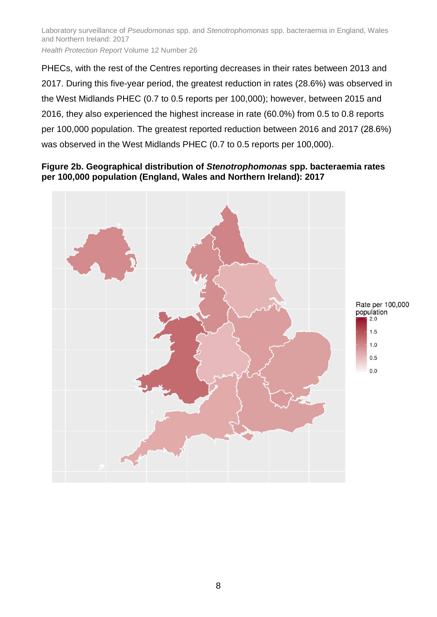PHECs, with the rest of the Centres reporting decreases in their rates between 2013 and 2017. During this five-year period, the greatest reduction in rates (28.6%) was observed in the West Midlands PHEC (0.7 to 0.5 reports per 100,000); however, between 2015 and 2016, they also experienced the highest increase in rate (60.0%) from 0.5 to 0.8 reports per 100,000 population. The greatest reported reduction between 2016 and 2017 (28.6%) was observed in the West Midlands PHEC (0.7 to 0.5 reports per 100,000).

#### **Figure 2b. Geographical distribution of** *Stenotrophomonas* **spp. bacteraemia rates per 100,000 population (England, Wales and Northern Ireland): 2017**

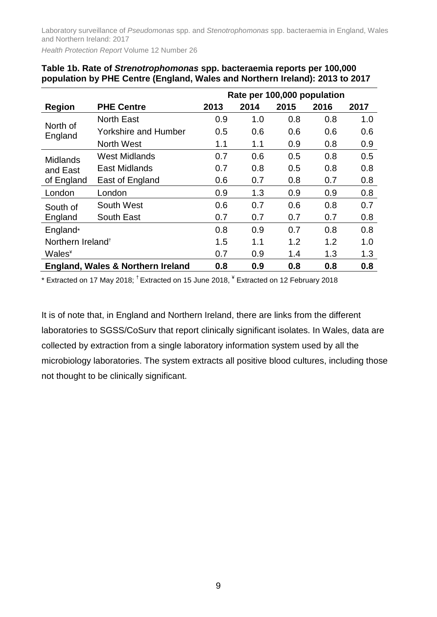Laboratory surveillance of *Pseudomonas* spp. and *Stenotrophomonas* spp. bacteraemia in England, Wales and Northern Ireland: 2017

*Health Protection Report* Volume 12 Number 26

|                               |                                   |      |      |      | Rate per 100,000 population |      |
|-------------------------------|-----------------------------------|------|------|------|-----------------------------|------|
| <b>Region</b>                 | <b>PHE Centre</b>                 | 2013 | 2014 | 2015 | 2016                        | 2017 |
| North of<br>England           | <b>North East</b>                 | 0.9  | 1.0  | 0.8  | 0.8                         | 1.0  |
|                               | <b>Yorkshire and Humber</b>       | 0.5  | 0.6  | 0.6  | 0.6                         | 0.6  |
|                               | <b>North West</b>                 | 1.1  | 1.1  | 0.9  | 0.8                         | 0.9  |
| <b>Midlands</b>               | <b>West Midlands</b>              | 0.7  | 0.6  | 0.5  | 0.8                         | 0.5  |
| and East<br>of England        | <b>East Midlands</b>              | 0.7  | 0.8  | 0.5  | 0.8                         | 0.8  |
|                               | East of England                   | 0.6  | 0.7  | 0.8  | 0.7                         | 0.8  |
| London                        | London                            | 0.9  | 1.3  | 0.9  | 0.9                         | 0.8  |
| South of                      | South West                        | 0.6  | 0.7  | 0.6  | 0.8                         | 0.7  |
| England                       | South East                        | 0.7  | 0.7  | 0.7  | 0.7                         | 0.8  |
| England*                      |                                   | 0.8  | 0.9  | 0.7  | 0.8                         | 0.8  |
| Northern Ireland <sup>+</sup> |                                   | 1.5  | 1.1  | 1.2  | 1.2                         | 1.0  |
| <b>Wales*</b>                 |                                   | 0.7  | 0.9  | 1.4  | 1.3                         | 1.3  |
|                               | England, Wales & Northern Ireland | 0.8  | 0.9  | 0.8  | 0.8                         | 0.8  |

| Table 1b. Rate of Strenotrophomonas spp. bacteraemia reports per 100,000     |  |
|------------------------------------------------------------------------------|--|
| population by PHE Centre (England, Wales and Northern Ireland): 2013 to 2017 |  |

\* Extracted on 17 May 2018; † Extracted on 15 June 2018, ¥ Extracted on 12 February 2018

It is of note that, in England and Northern Ireland, there are links from the different laboratories to SGSS/CoSurv that report clinically significant isolates. In Wales, data are collected by extraction from a single laboratory information system used by all the microbiology laboratories. The system extracts all positive blood cultures, including those not thought to be clinically significant.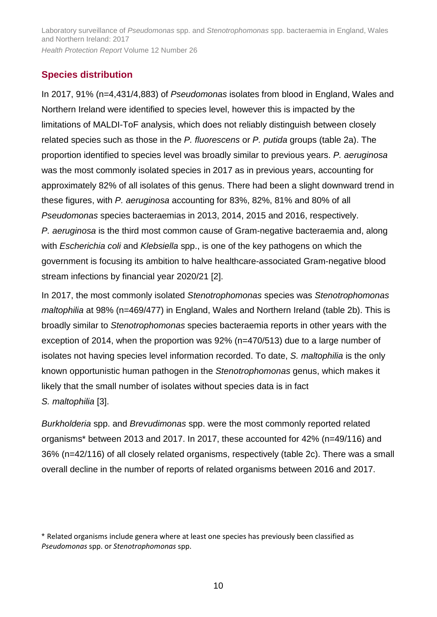## **Species distribution**

In 2017, 91% (n=4,431/4,883) of *Pseudomonas* isolates from blood in England, Wales and Northern Ireland were identified to species level, however this is impacted by the limitations of MALDI-ToF analysis, which does not reliably distinguish between closely related species such as those in the *P. fluorescens* or *P. putida* groups (table 2a). The proportion identified to species level was broadly similar to previous years. *P. aeruginosa* was the most commonly isolated species in 2017 as in previous years, accounting for approximately 82% of all isolates of this genus. There had been a slight downward trend in these figures, with *P. aeruginosa* accounting for 83%, 82%, 81% and 80% of all *Pseudomonas* species bacteraemias in 2013, 2014, 2015 and 2016, respectively. *P. aeruginosa* is the third most common cause of Gram-negative bacteraemia and, along with *Escherichia coli* and *Klebsiella* spp., is one of the key pathogens on which the government is focusing its ambition to halve healthcare-associated Gram-negative blood stream infections by financial year 2020/21 [2].

In 2017, the most commonly isolated *Stenotrophomonas* species was *Stenotrophomonas maltophilia* at 98% (n=469/477) in England, Wales and Northern Ireland (table 2b). This is broadly similar to *Stenotrophomonas* species bacteraemia reports in other years with the exception of 2014, when the proportion was 92% (n=470/513) due to a large number of isolates not having species level information recorded. To date, *S. maltophilia* is the only known opportunistic human pathogen in the *Stenotrophomonas* genus, which makes it likely that the small number of isolates without species data is in fact *S. maltophilia* [3].

*Burkholderia* spp. and *Brevudimonas* spp. were the most commonly reported related organisms\* between 2013 and 2017. In 2017, these accounted for 42% (n=49/116) and 36% (n=42/116) of all closely related organisms, respectively (table 2c). There was a small overall decline in the number of reports of related organisms between 2016 and 2017.

<sup>\*</sup> Related organisms include genera where at least one species has previously been classified as *Pseudomonas* spp. or *Stenotrophomonas* spp.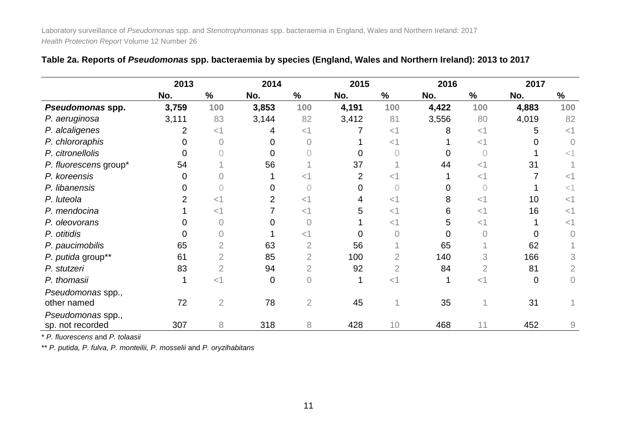|                       | 2013  |                | 2014  |                | 2015  |                | 2016  |        | 2017     |                |
|-----------------------|-------|----------------|-------|----------------|-------|----------------|-------|--------|----------|----------------|
|                       | No.   | $\%$           | No.   | $\%$           | No.   | $\%$           | No.   | $\%$   | No.      | $\%$           |
| Pseudomonas spp.      | 3,759 | 100            | 3,853 | 100            | 4,191 | 100            | 4,422 | 100    | 4,883    | 100            |
| P. aeruginosa         | 3,111 | 83             | 3,144 | 82             | 3,412 | 81             | 3,556 | 80     | 4,019    | 82             |
| P. alcaligenes        | 2     | $<$ 1          | 4     | $<$ 1          |       | $<$ 1          | 8     | $<$ 1  | 5        | $<$ 1          |
| P. chlororaphis       |       | $\overline{0}$ |       | $\overline{0}$ |       | $<$ 1          |       | $<$ 1  |          |                |
| P. citronellolis      |       |                |       |                |       |                |       |        |          | $<$ 1          |
| P. fluorescens group* | 54    |                | 56    |                | 37    |                | 44    | $<$ 1  | 31       |                |
| P. koreensis          |       |                |       | $\lt'$         |       |                |       | ${<}1$ |          | $<$ 1          |
| P. libanensis         |       |                |       |                |       |                |       |        |          | $<$ 1          |
| P. luteola            |       | $<$ 1          | 2     | $<$ 1          |       | $<$ 1          | 8     | $<$ 1  | 10       | $<$ 1          |
| P. mendocina          |       | $<$ 1          |       | $<$ 1          |       | $<$ 1          | 6     | $<$ 1  | 16       | $<$ 1          |
| P. oleovorans         |       |                |       | 0              |       | <1             | 5     | $<$ 1  |          | $<$ 1          |
| P. otitidis           |       |                |       | <1             |       |                | 0     |        |          |                |
| P. paucimobilis       | 65    | $\overline{2}$ | 63    | $\overline{2}$ | 56    |                | 65    |        | 62       |                |
| P. putida group**     | 61    | $\overline{2}$ | 85    | $\overline{2}$ | 100   | $\overline{2}$ | 140   |        | 166      | 3              |
| P. stutzeri           | 83    | $\overline{2}$ | 94    | $\overline{2}$ | 92    | $\overline{2}$ | 84    |        | 81       | $\overline{2}$ |
| P. thomasii           |       | $<$ 1          | 0     | $\overline{0}$ |       | $<$ 1          |       | $<$ 1  | $\Omega$ | $\overline{0}$ |
| Pseudomonas spp.,     |       |                |       |                |       |                |       |        |          |                |
| other named           | 72    | $\overline{2}$ | 78    | $\overline{2}$ | 45    |                | 35    |        | 31       |                |
| Pseudomonas spp.,     |       |                |       |                |       |                |       |        |          |                |
| sp. not recorded      | 307   | 8              | 318   | 8              | 428   | 10             | 468   | 11     | 452      | $\hbox{9}$     |

|  |  | Table 2a. Reports of Pseudomonas spp. bacteraemia by species (England, Wales and Northern Ireland): 2013 to 2017 |
|--|--|------------------------------------------------------------------------------------------------------------------|
|--|--|------------------------------------------------------------------------------------------------------------------|

\* *P. fluorescens* and *P. tolaasii*

\*\* *P. putida, P. fulva, P. monteilii, P. mosselii* and *P. oryzihabitans*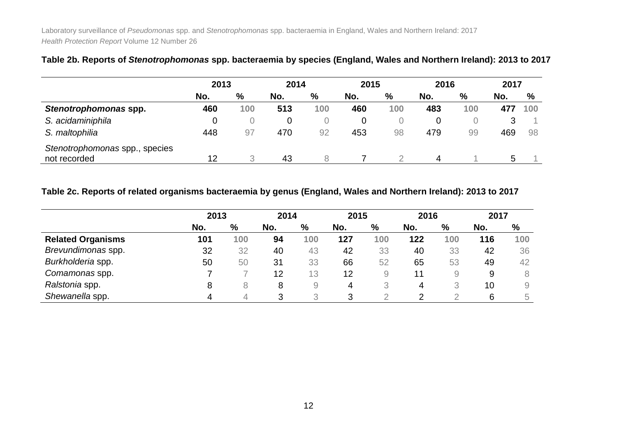|                                | 2013 |     | 2014 |      | 2015 |     | 2016 |      | 2017 |      |
|--------------------------------|------|-----|------|------|------|-----|------|------|------|------|
|                                | No.  | %   | No.  | $\%$ | No.  | %   | No.  | $\%$ | No.  | $\%$ |
| Stenotrophomonas spp.          | 460  | 100 | 513  | 100  | 460  | 100 | 483  | 100  |      | 100  |
| S. acidaminiphila              |      |     | 0    |      | 0    |     | O    |      | 3    |      |
| S. maltophilia                 | 448  | 97  | 470  | 92   | 453  | 98  | 479  | 99   | 469  | 98   |
| Stenotrophomonas spp., species |      |     |      |      |      |     |      |      |      |      |
| not recorded                   | 12   |     | 43   | 8    |      |     |      |      | b    |      |

### **Table 2b. Reports of** *Stenotrophomonas* **spp. bacteraemia by species (England, Wales and Northern Ireland): 2013 to 2017**

#### **Table 2c. Reports of related organisms bacteraemia by genus (England, Wales and Northern Ireland): 2013 to 2017**

|                          | 2013 |     | 2014 |     | 2015 |     | 2016 |     | 2017 |                     |
|--------------------------|------|-----|------|-----|------|-----|------|-----|------|---------------------|
|                          | No.  | %   | No.  | %   | No.  | %   | No.  | %   | No.  | %                   |
| <b>Related Organisms</b> | 101  | 100 | 94   | 100 | 127  | 100 | 122  | 100 | 116  | 100                 |
| Brevundimonas spp.       | 32   | 32  | 40   | 43  | 42   | 33  | 40   | 33  | 42   | 36                  |
| Burkholderia spp.        | 50   | 50  | 31   | 33  | 66   | 52  | 65   | 53  | 49   | 42                  |
| Comamonas spp.           |      |     | 12   | 13  | 12   | 9   | 11   | 9   | 9    | 8                   |
| Ralstonia spp.           | 8    | 8   | 8    | 9   | 4    | 3   | 4    |     | 10   | $\mathcal{G}% _{0}$ |
| Shewanella spp.          |      |     | 3    |     | 3    |     |      |     | 6    | 5                   |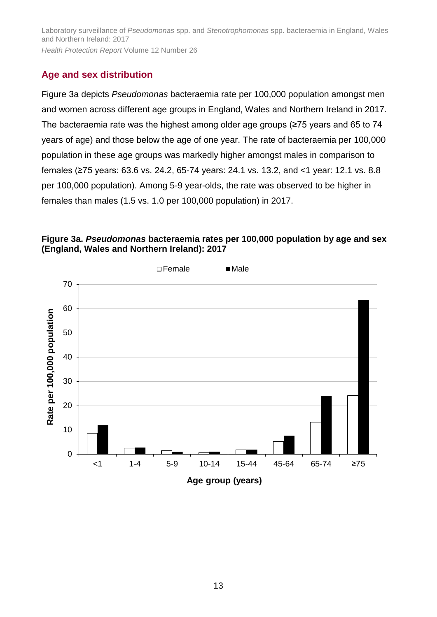## **Age and sex distribution**

Figure 3a depicts *Pseudomonas* bacteraemia rate per 100,000 population amongst men and women across different age groups in England, Wales and Northern Ireland in 2017. The bacteraemia rate was the highest among older age groups (≥75 years and 65 to 74 years of age) and those below the age of one year. The rate of bacteraemia per 100,000 population in these age groups was markedly higher amongst males in comparison to females (≥75 years: 63.6 vs. 24.2, 65-74 years: 24.1 vs. 13.2, and <1 year: 12.1 vs. 8.8 per 100,000 population). Among 5-9 year-olds, the rate was observed to be higher in females than males (1.5 vs. 1.0 per 100,000 population) in 2017.

## **Figure 3a.** *Pseudomonas* **bacteraemia rates per 100,000 population by age and sex (England, Wales and Northern Ireland): 2017**

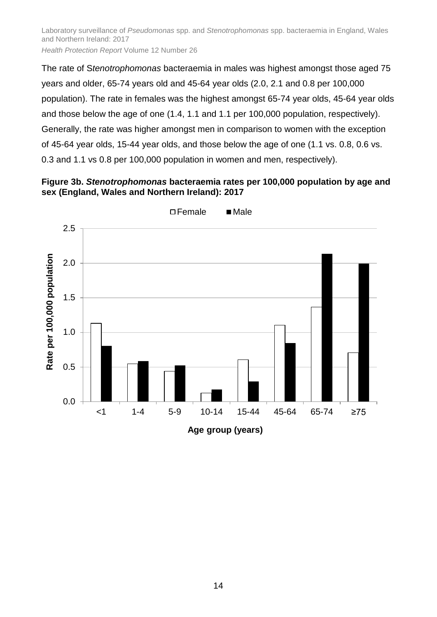The rate of S*tenotrophomonas* bacteraemia in males was highest amongst those aged 75 years and older, 65-74 years old and 45-64 year olds (2.0, 2.1 and 0.8 per 100,000 population). The rate in females was the highest amongst 65-74 year olds, 45-64 year olds and those below the age of one (1.4, 1.1 and 1.1 per 100,000 population, respectively). Generally, the rate was higher amongst men in comparison to women with the exception of 45-64 year olds, 15-44 year olds, and those below the age of one (1.1 vs. 0.8, 0.6 vs. 0.3 and 1.1 vs 0.8 per 100,000 population in women and men, respectively).

#### **Figure 3b.** *Stenotrophomonas* **bacteraemia rates per 100,000 population by age and sex (England, Wales and Northern Ireland): 2017**

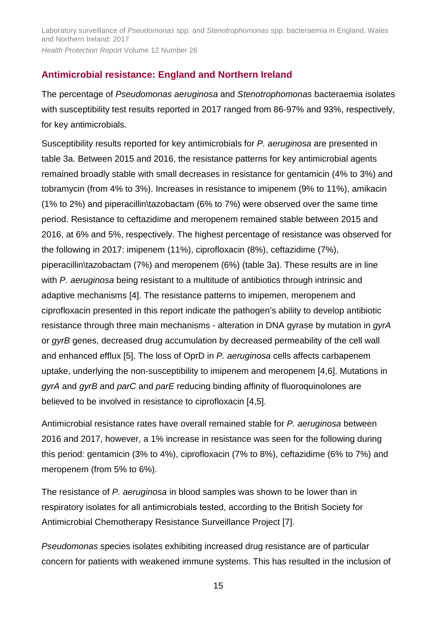## **Antimicrobial resistance: England and Northern Ireland**

The percentage of *Pseudomonas aeruginosa* and *Stenotrophomonas* bacteraemia isolates with susceptibility test results reported in 2017 ranged from 86-97% and 93%, respectively, for key antimicrobials.

Susceptibility results reported for key antimicrobials for *P. aeruginosa* are presented in table 3a. Between 2015 and 2016, the resistance patterns for key antimicrobial agents remained broadly stable with small decreases in resistance for gentamicin (4% to 3%) and tobramycin (from 4% to 3%). Increases in resistance to imipenem (9% to 11%), amikacin (1% to 2%) and piperacillin\tazobactam (6% to 7%) were observed over the same time period. Resistance to ceftazidime and meropenem remained stable between 2015 and 2016, at 6% and 5%, respectively. The highest percentage of resistance was observed for the following in 2017: imipenem (11%), ciprofloxacin (8%), ceftazidime (7%), piperacillin\tazobactam (7%) and meropenem (6%) (table 3a). These results are in line with *P. aeruginosa* being resistant to a multitude of antibiotics through intrinsic and adaptive mechanisms [4]. The resistance patterns to imipemen, meropenem and ciprofloxacin presented in this report indicate the pathogen's ability to develop antibiotic resistance through three main mechanisms - alteration in DNA gyrase by mutation in *gyrA* or *gyrB* genes, decreased drug accumulation by decreased permeability of the cell wall and enhanced efflux [5]. The loss of OprD in *P. aeruginosa* cells affects carbapenem uptake, underlying the non-susceptibility to imipenem and meropenem [4,6]. Mutations in *gyrA* and *gyrB* and *parC* and *parE* reducing binding affinity of fluoroquinolones are believed to be involved in resistance to ciprofloxacin [4,5].

Antimicrobial resistance rates have overall remained stable for *P. aeruginosa* between 2016 and 2017, however, a 1% increase in resistance was seen for the following during this period: gentamicin (3% to 4%), ciprofloxacin (7% to 8%), ceftazidime (6% to 7%) and meropenem (from 5% to 6%).

The resistance of *P. aeruginosa* in blood samples was shown to be lower than in respiratory isolates for all antimicrobials tested, according to the British Society for Antimicrobial Chemotherapy Resistance Surveillance Project [7].

*Pseudomonas* species isolates exhibiting increased drug resistance are of particular concern for patients with weakened immune systems. This has resulted in the inclusion of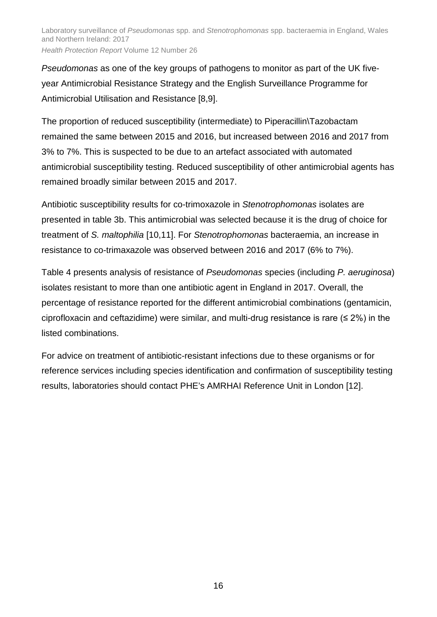*Pseudomonas* as one of the key groups of pathogens to monitor as part of the UK fiveyear Antimicrobial Resistance Strategy and the English Surveillance Programme for Antimicrobial Utilisation and Resistance [8,9].

The proportion of reduced susceptibility (intermediate) to Piperacillin\Tazobactam remained the same between 2015 and 2016, but increased between 2016 and 2017 from 3% to 7%. This is suspected to be due to an artefact associated with automated antimicrobial susceptibility testing. Reduced susceptibility of other antimicrobial agents has remained broadly similar between 2015 and 2017.

Antibiotic susceptibility results for co-trimoxazole in *Stenotrophomonas* isolates are presented in table 3b. This antimicrobial was selected because it is the drug of choice for treatment of *S. maltophilia* [10,11]. For *Stenotrophomonas* bacteraemia, an increase in resistance to co-trimaxazole was observed between 2016 and 2017 (6% to 7%).

Table 4 presents analysis of resistance of *Pseudomonas* species (including *P. aeruginosa*) isolates resistant to more than one antibiotic agent in England in 2017. Overall, the percentage of resistance reported for the different antimicrobial combinations (gentamicin, ciprofloxacin and ceftazidime) were similar, and multi-drug resistance is rare ( $\leq 2\%$ ) in the listed combinations.

For advice on treatment of antibiotic-resistant infections due to these organisms or for reference services including species identification and confirmation of susceptibility testing results, laboratories should contact PHE's AMRHAI Reference Unit in London [12].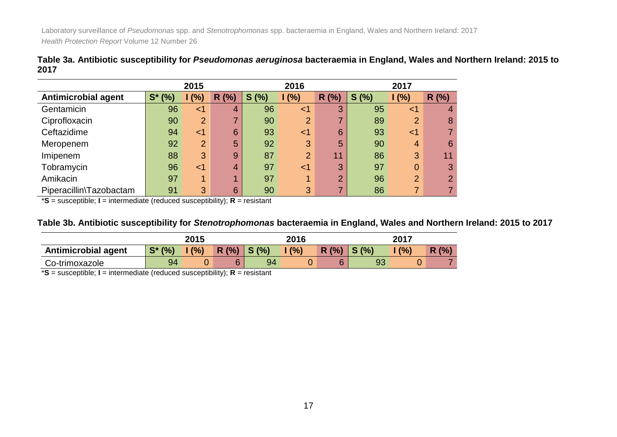|      | Table 3a. Antibiotic susceptibility for <i>Pseudomonas aeruginosa</i> bacteraemia in England, Wales and Northern Ireland: 2015 to |  |  |  |
|------|-----------------------------------------------------------------------------------------------------------------------------------|--|--|--|
| 2017 |                                                                                                                                   |  |  |  |

|                            |              | 2015           |      |          | 2016           |       | 2017 |                |                |  |
|----------------------------|--------------|----------------|------|----------|----------------|-------|------|----------------|----------------|--|
| <b>Antimicrobial agent</b> | $S^*$<br>(%) | (% )           | R(%) | (%)<br>S | 1(%)           | R (%) | S(%) | (%)            | R(%)           |  |
| Gentamicin                 | 96           | $\leq$ 1       | 4    | 96       | $<$ 1          | 3     | 95   | $<$ 1          | 4              |  |
| Ciprofloxacin              | 90           | $\overline{2}$ | ⇁    | 90       | $\overline{2}$ | ⇁     | 89   | $\overline{2}$ | 8              |  |
| Ceftazidime                | 94           | ${<}1$         | 6    | 93       | $<$ 1          | 6     | 93   | $<$ 1          |                |  |
| Meropenem                  | 92           | $\overline{2}$ | 5    | 92       | 3              | 5     | 90   | 4              | 6              |  |
| Imipenem                   | 88           | 3              | 9    | 87       | $\overline{2}$ | 11    | 86   | 3              | 11             |  |
| Tobramycin                 | 96           | ${<}1$         | 4    | 97       | $<$ 1          | 3     | 97   | 0              | 3              |  |
| Amikacin                   | 97           | и              |      | 97       | 4              | ◠     | 96   | $\overline{2}$ | $\overline{2}$ |  |
| Piperacillin\Tazobactam    | 91           | 3              | 6    | 90       | 3              | ⇁     | 86   | ⇁              |                |  |

\***S** = susceptible; **I** = intermediate (reduced susceptibility); **R** = resistant

#### **Table 3b. Antibiotic susceptibility for** *Stenotrophomonas* **bacteraemia in England, Wales and Northern Ireland: 2015 to 2017**

|                            |           | 2015 |      |                  | 2016 |      | 2017 |     |           |  |
|----------------------------|-----------|------|------|------------------|------|------|------|-----|-----------|--|
| <b>Antimicrobial agent</b> | $S^*$ (%) | (%)  | R(%) | $\mathsf{S}$ (%) | (% ) | R(%) | S(%  | (%) | (% )<br>R |  |
| Co-trimoxazole             | 94        |      |      | 94               |      |      |      | U   |           |  |

\***S** = susceptible; **I** = intermediate (reduced susceptibility); **R** = resistant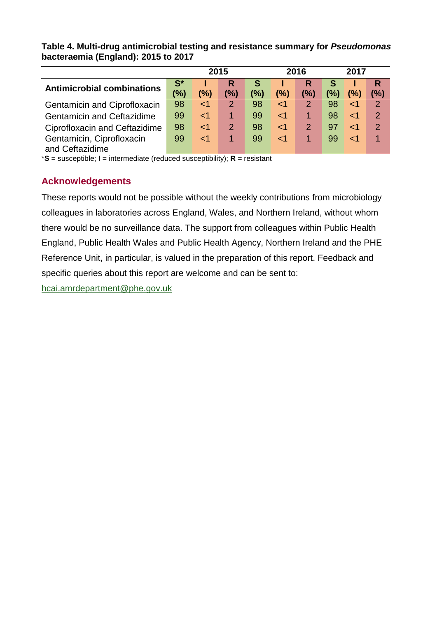#### **Table 4. Multi-drug antimicrobial testing and resistance summary for** *Pseudomonas*  **bacteraemia (England): 2015 to 2017**

|                                   | 2015           |        |                |     |       | 2016           | 2017          |     |               |
|-----------------------------------|----------------|--------|----------------|-----|-------|----------------|---------------|-----|---------------|
| <b>Antimicrobial combinations</b> | $\mathbf{S}^*$ |        | R              | S   |       |                | S             |     | R             |
|                                   | (%)            | (%)    | (%)            | (%) | (%)   | (%)            | $\frac{1}{2}$ | (%) | (%)           |
| Gentamicin and Ciprofloxacin      | 98             | ${<}1$ | $\overline{2}$ | 98  | ا>    | $\overline{2}$ | 98            |     | 2             |
| <b>Gentamicin and Ceftazidime</b> | 99             | ${<}1$ |                | 99  | <1    |                | 98            | ا > | 2             |
| Ciprofloxacin and Ceftazidime     | 98             | ${<}1$ | 2              | 98  | $<$ 1 | 2              | 97            |     | $\mathcal{P}$ |
| Gentamicin, Ciprofloxacin         | 99             | ${<}1$ |                | 99  | $<$ 1 |                | 99            | ا م |               |
| and Ceftazidime                   |                |        |                |     |       |                |               |     |               |

\***S** = susceptible; **I** = intermediate (reduced susceptibility); **R** = resistant

## **Acknowledgements**

These reports would not be possible without the weekly contributions from microbiology colleagues in laboratories across England, Wales, and Northern Ireland, without whom there would be no surveillance data. The support from colleagues within Public Health England, Public Health Wales and Public Health Agency, Northern Ireland and the PHE Reference Unit, in particular, is valued in the preparation of this report. Feedback and specific queries about this report are welcome and can be sent to:

[hcai.amrdepartment@phe.gov.uk](mailto:hcai.amrdepartment@phe.gov.uk)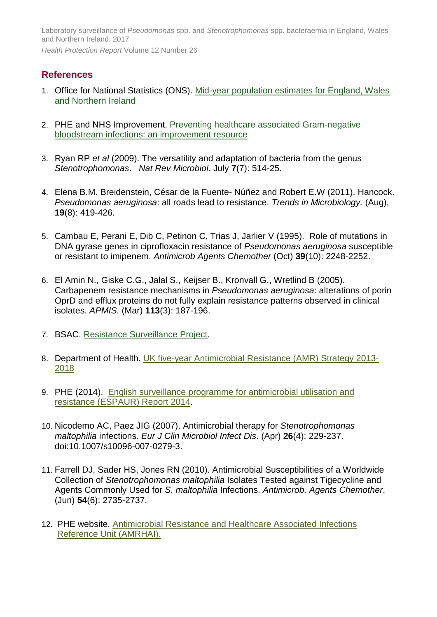### **References**

- 1. Office for National Statistics (ONS). [Mid-year population estimates for England, Wales](http://www.ons.gov.uk/ons/rel/pop-estimate/population-estimates-for-uk--england-and-wales--scotland-and-northern-ireland/index.html)  [and Northern Ireland](http://www.ons.gov.uk/ons/rel/pop-estimate/population-estimates-for-uk--england-and-wales--scotland-and-northern-ireland/index.html)
- 2. PHE and NHS Improvement. [Preventing healthcare associated Gram-negative](https://improvement.nhs.uk/uploads/documents/Gram-negative_IPCresource_pack.pdf)  [bloodstream infections: an improvement resource](https://improvement.nhs.uk/uploads/documents/Gram-negative_IPCresource_pack.pdf)
- 3. Ryan RP *et al* (2009). The versatility and adaptation of bacteria from the genus *Stenotrophomonas*. *Nat Rev Microbiol*. July **7**(7): 514-25.
- 4. Elena B.M. Breidenstein, César de la Fuente- Núñez and Robert E.W (2011). Hancock. *Pseudomonas aeruginosa*: all roads lead to resistance. *Trends in Microbiology.* (Aug), **19**(8): 419-426.
- 5. Cambau E, Perani E, Dib C, Petinon C, Trias J, Jarlier V (1995). Role of mutations in DNA gyrase genes in ciprofloxacin resistance of *Pseudomonas aeruginosa* susceptible or resistant to imipenem. *Antimicrob Agents Chemother* (Oct) **39**(10): 2248-2252.
- 6. El Amin N., Giske C.G., Jalal S., Keijser B., Kronvall G., Wretlind B (2005). Carbapenem resistance mechanisms in *Pseudomonas aeruginosa*: alterations of porin OprD and efflux proteins do not fully explain resistance patterns observed in clinical isolates. *APMIS.* (Mar) **113**(3): 187-196.
- 7. BSAC. [Resistance Surveillance Project.](http://www.bsacsurv.org/)
- 8. Department of Health. [UK five-year Antimicrobial Resistance \(AMR\)](https://www.gov.uk/government/uploads/system/uploads/attachment_data/file/322358/Outcome_measures.pdf) Strategy 2013- [2018](https://www.gov.uk/government/uploads/system/uploads/attachment_data/file/322358/Outcome_measures.pdf)
- 9. PHE (2014). [English surveillance programme for antimicrobial utilisation and](https://www.gov.uk/government/uploads/system/uploads/attachment_data/file/362374/ESPAUR_Report_2014__3_.pdf)  [resistance \(ESPAUR\) Report 2014.](https://www.gov.uk/government/uploads/system/uploads/attachment_data/file/362374/ESPAUR_Report_2014__3_.pdf)
- 10. Nicodemo AC, Paez JIG (2007). Antimicrobial therapy for *Stenotrophomonas maltophilia* infections. *Eur J Clin Microbiol Infect Dis*. (Apr) **26**(4): 229-237. doi:10.1007/s10096-007-0279-3.
- 11. Farrell DJ, Sader HS, Jones RN (2010). Antimicrobial Susceptibilities of a Worldwide Collection of *Stenotrophomonas maltophilia* Isolates Tested against Tigecycline and Agents Commonly Used for *S. maltophilia* Infections. *Antimicrob. Agents Chemother*. (Jun) **54**(6): 2735-2737.
- 12. PHE website. [Antimicrobial Resistance and Healthcare Associated Infections](https://www.gov.uk/guidance/amrhai-reference-unit-reference-and-diagnostic-services)  [Reference Unit \(AMRHAI\).](https://www.gov.uk/guidance/amrhai-reference-unit-reference-and-diagnostic-services)